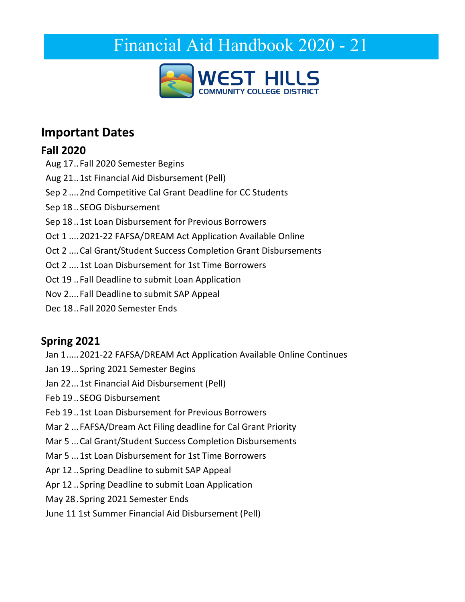# <span id="page-0-0"></span>Financial Aid Handbook 2020 - 21



## <span id="page-0-1"></span>**Important Dates**

## **Fall 2020**

- Aug 17..Fall 2020 Semester Begins
- Aug 21..1st Financial Aid Disbursement (Pell)
- Sep 2 ....2nd Competitive Cal Grant Deadline for CC Students
- Sep 18 ..SEOG Disbursement
- Sep 18 ..1st Loan Disbursement for Previous Borrowers
- Oct 1 ....2021-22 FAFSA/DREAM Act Application Available Online
- Oct 2 ....Cal Grant/Student Success Completion Grant Disbursements
- Oct 2 ....1st Loan Disbursement for 1st Time Borrowers
- Oct 19 ..Fall Deadline to submit Loan Application
- Nov 2....Fall Deadline to submit SAP Appeal
- Dec 18 ..Fall 2020 Semester Ends

## **Spring 2021**

- Jan 1.....2021-22 FAFSA/DREAM Act Application Available Online Continues
- Jan 19 ...Spring 2021 Semester Begins
- Jan 22...1st Financial Aid Disbursement (Pell)
- Feb 19 ..SEOG Disbursement
- Feb 19 ..1st Loan Disbursement for Previous Borrowers
- Mar 2 ...FAFSA/Dream Act Filing deadline for Cal Grant Priority
- Mar 5 ...Cal Grant/Student Success Completion Disbursements
- Mar 5 ...1st Loan Disbursement for 1st Time Borrowers
- Apr 12 ..Spring Deadline to submit SAP Appeal
- Apr 12 ..Spring Deadline to submit Loan Application
- May 28 . Spring 2021 Semester Ends
- June 11 1st Summer Financial Aid Disbursement (Pell)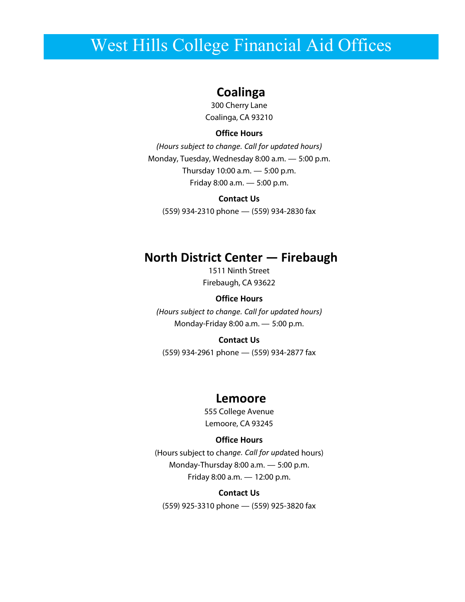## <span id="page-1-0"></span>West Hills College Financial Aid Offices

#### **Coalinga**

300 Cherry Lane Coalinga, CA 93210

#### **Office Hours**

*(Hours subject to change. Call for updated hours)* Monday, Tuesday, Wednesday 8:00 a.m. — 5:00 p.m. Thursday 10:00 a.m. — 5:00 p.m. Friday 8:00 a.m. — 5:00 p.m.

#### **Contact Us**

(559) 934-2310 phone — (559) 934-2830 fax

#### **North District Center — Firebaugh**

1511 Ninth Street Firebaugh, CA 93622

#### **Office Hours**

*(Hours subject to change. Call for updated hours)* Monday-Friday 8:00 a.m. — 5:00 p.m.

#### **Contact Us**

(559) 934-2961 phone — (559) 934-2877 fax

#### **Lemoore**

555 College Avenue Lemoore, CA 93245

#### **Office Hours**

(Hours subject to cha*nge. Call for upd*ated hours) Monday-Thursday 8:00 a.m. — 5:00 p.m. Friday 8:00 a.m. — 12:00 p.m.

#### **Contact Us**

(559) 925-3310 phone — (559) 925-3820 fax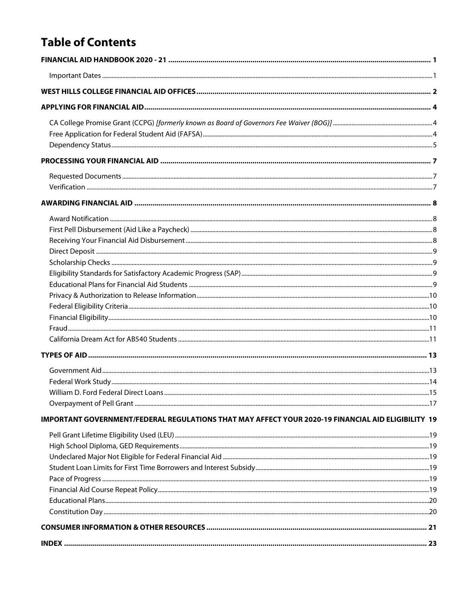## **Table of Contents**

| IMPORTANT GOVERNMENT/FEDERAL REGULATIONS THAT MAY AFFECT YOUR 2020-19 FINANCIAL AID ELIGIBILITY 19 |
|----------------------------------------------------------------------------------------------------|
|                                                                                                    |
|                                                                                                    |
|                                                                                                    |
|                                                                                                    |
|                                                                                                    |
|                                                                                                    |
|                                                                                                    |
|                                                                                                    |
|                                                                                                    |
|                                                                                                    |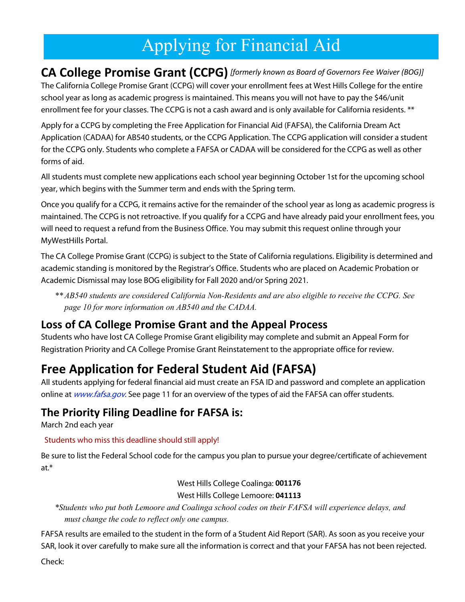# Applying for Financial Aid

<span id="page-3-1"></span><span id="page-3-0"></span>**CA College Promise Grant (CCPG)** *[formerly known as Board of Governors Fee Waiver (BOG)]* The California College Promise Grant (CCPG) will cover your enrollment fees at West Hills College for the entire school year as long as academic progress is maintained. This means you will not have to pay the \$46/unit enrollment fee for your classes. The CCPG is not a cash award and is only available for California residents. \*\*

Apply for a CCPG by completing the Free Application for Financial Aid (FAFSA), the California Dream Act Application (CADAA) for AB540 students, or the CCPG Application. The CCPG application will consider a student for the CCPG only. Students who complete a FAFSA or CADAA will be considered for the CCPG as well as other forms of aid.

All students must complete new applications each school year beginning October 1st for the upcoming school year, which begins with the Summer term and ends with the Spring term.

Once you qualify for a CCPG, it remains active for the remainder of the school year as long as academic progress is maintained. The CCPG is not retroactive. If you qualify for a CCPG and have already paid your enrollment fees, you will need to request a refund from the Business Office. You may submit this request online through your MyWestHills Portal.

The CA College Promise Grant (CCPG) is subject to the State of California regulations. Eligibility is determined and academic standing is monitored by the Registrar's Office. Students who are placed on Academic Probation or Academic Dismissal may lose BOG eligibility for Fall 2020 and/or Spring 2021.

*\*\* AB540 students are considered California Non-Residents and are also eligible to receive the CCPG. See page 10 for more information on AB540 and the CADAA.*

#### **Loss of CA College Promise Grant and the Appeal Process**

Students who have lost CA College Promise Grant eligibility may complete and submit an Appeal Form for Registration Priority and CA College Promise Grant Reinstatement to the appropriate office for review.

## <span id="page-3-2"></span>**Free Application for Federal Student Aid (FAFSA)**

All students applying for federal financial aid must create an FSA ID and password and complete an application online at [www.fafsa.gov](http://www.fafsa.gov/). See page 11 for an overview of the types of aid the FAFSA can offer students.

#### **The Priority Filing Deadline for FAFSA is:**

March 2nd each year

#### Students who miss this deadline should still apply!

Be sure to list the Federal School code for the campus you plan to pursue your degree/certificate of achievement at.\*

> West Hills College Coalinga: **001176** West Hills College Lemoore: **041113**

*\*Students who put both Lemoore and Coalinga school codes on their FAFSA will experience delays, and must change the code to reflect only one campus.*

FAFSA results are emailed to the student in the form of a Student Aid Report (SAR). As soon as you receive your SAR, look it over carefully to make sure all the information is correct and that your FAFSA has not been rejected.

Check: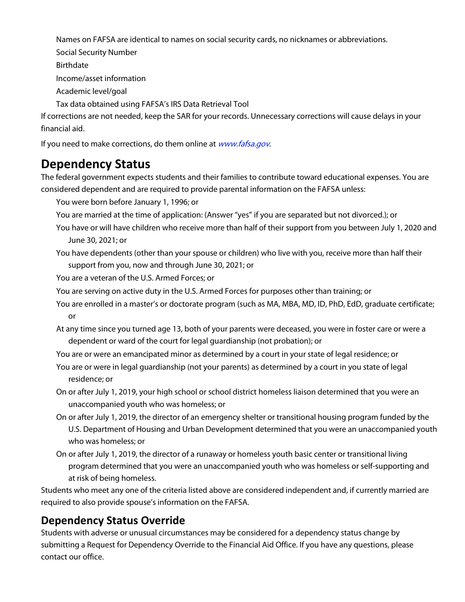Names on FAFSA are identical to names on social security cards, no nicknames or abbreviations.

Social Security Number

Birthdate

Income/asset information

Academic level/goal

Tax data obtained using FAFSA's IRS Data Retrieval Tool

If corrections are not needed, keep the SAR for your records. Unnecessary corrections will cause delays in your financial aid.

If you need to make corrections, do them online at [www.fafsa.gov](http://www.fafsa.gov/).

## <span id="page-4-0"></span>**Dependency Status**

The federal government expects students and their families to contribute toward educational expenses. You are considered dependent and are required to provide parental information on the FAFSA unless:

You were born before January 1, 1996; or

- You are married at the time of application: (Answer "yes" if you are separated but not divorced.); or
- You have or will have children who receive more than half of their support from you between July 1, 2020 and June 30, 2021; or
- You have dependents (other than your spouse or children) who live with you, receive more than half their support from you, now and through June 30, 2021; or

You are a veteran of the U.S. Armed Forces; or

- You are serving on active duty in the U.S. Armed Forces for purposes other than training; or
- You are enrolled in a master's or doctorate program (such as MA, MBA, MD, ID, PhD, EdD, graduate certificate; or
- At any time since you turned age 13, both of your parents were deceased, you were in foster care or were a dependent or ward of the court for legal guardianship (not probation); or
- You are or were an emancipated minor as determined by a court in your state of legal residence; or
- You are or were in legal guardianship (not your parents) as determined by a court in you state of legal residence; or
- On or after July 1, 2019, your high school or school district homeless liaison determined that you were an unaccompanied youth who was homeless; or
- On or after July 1, 2019, the director of an emergency shelter or transitional housing program funded by the U.S. Department of Housing and Urban Development determined that you were an unaccompanied youth who was homeless; or
- On or after July 1, 2019, the director of a runaway or homeless youth basic center or transitional living program determined that you were an unaccompanied youth who was homeless or self-supporting and at risk of being homeless.

Students who meet any one of the criteria listed above are considered independent and, if currently married are required to also provide spouse's information on the FAFSA.

## **Dependency Status Override**

Students with adverse or unusual circumstances may be considered for a dependency status change by submitting a Request for Dependency Override to the Financial Aid Office. If you have any questions, please contact our office.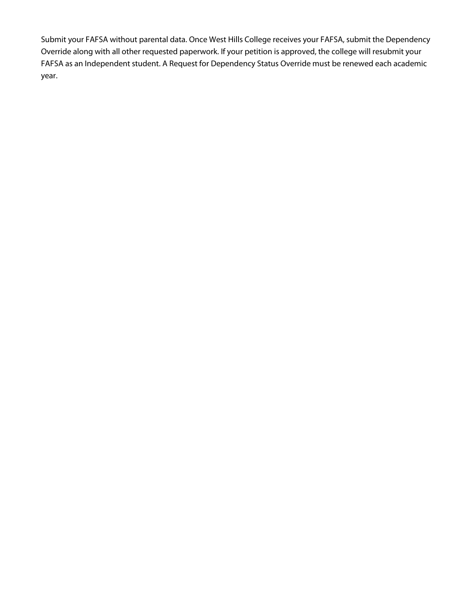Submit your FAFSA without parental data. Once West Hills College receives your FAFSA, submit the Dependency Override along with all other requested paperwork. If your petition is approved, the college will resubmit your FAFSA as an Independent student. A Request for Dependency Status Override must be renewed each academic year.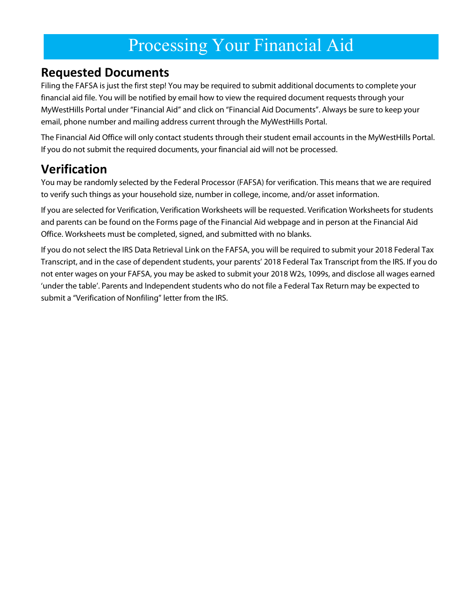## Processing Your Financial Aid

## <span id="page-6-1"></span><span id="page-6-0"></span>**Requested Documents**

Filing the FAFSA is just the first step! You may be required to submit additional documents to complete your financial aid file. You will be notified by email how to view the required document requests through your MyWestHills Portal under "Financial Aid" and click on "Financial Aid Documents". Always be sure to keep your email, phone number and mailing address current through the MyWestHills Portal.

The Financial Aid Office will only contact students through their student email accounts in the MyWestHills Portal. If you do not submit the required documents, your financial aid will not be processed.

## <span id="page-6-2"></span>**Verification**

You may be randomly selected by the Federal Processor (FAFSA) for verification. This means that we are required to verify such things as your household size, number in college, income, and/or asset information.

If you are selected for Verification, Verification Worksheets will be requested. Verification Worksheets for students and parents can be found on the Forms page of the Financial Aid webpage and in person at the Financial Aid Office. Worksheets must be completed, signed, and submitted with no blanks.

If you do not select the IRS Data Retrieval Link on the FAFSA, you will be required to submit your 2018 Federal Tax Transcript, and in the case of dependent students, your parents' 2018 Federal Tax Transcript from the IRS. If you do not enter wages on your FAFSA, you may be asked to submit your 2018 W2s, 1099s, and disclose all wages earned 'under the table'. Parents and Independent students who do not file a Federal Tax Return may be expected to submit a "Verification of Nonfiling" letter from the IRS.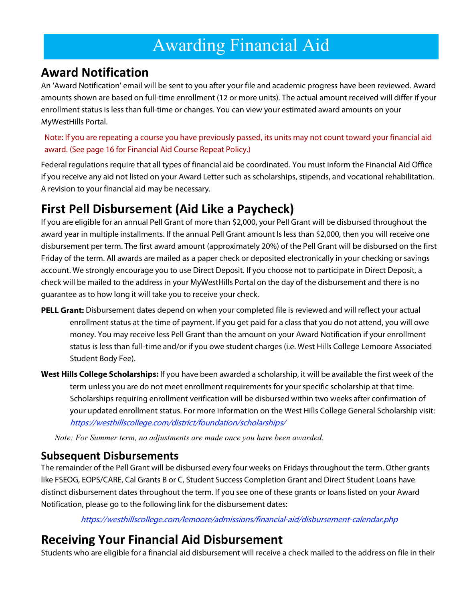# Awarding Financial Aid

## <span id="page-7-1"></span><span id="page-7-0"></span>**Award Notification**

An 'Award Notification' email will be sent to you after your file and academic progress have been reviewed. Award amounts shown are based on full-time enrollment (12 or more units). The actual amount received will differ if your enrollment status is less than full-time or changes. You can view your estimated award amounts on your MyWestHills Portal.

Note: If you are repeating a course you have previously passed, its units may not count toward your financial aid award. (See page 16 for Financial Aid Course Repeat Policy.)

Federal regulations require that all types of financial aid be coordinated. You must inform the Financial Aid Office if you receive any aid not listed on your Award Letter such as scholarships, stipends, and vocational rehabilitation. A revision to your financial aid may be necessary.

## <span id="page-7-2"></span>**First Pell Disbursement (Aid Like a Paycheck)**

If you are eligible for an annual Pell Grant of more than \$2,000, your Pell Grant will be disbursed throughout the award year in multiple installments. If the annual Pell Grant amount Is less than \$2,000, then you will receive one disbursement per term. The first award amount (approximately 20%) of the Pell Grant will be disbursed on the first Friday of the term. All awards are mailed as a paper check or deposited electronically in your checking or savings account. We strongly encourage you to use Direct Deposit. If you choose not to participate in Direct Deposit, a check will be mailed to the address in your MyWestHills Portal on the day of the disbursement and there is no guarantee as to how long it will take you to receive your check.

- **PELL Grant:** Disbursement dates depend on when your completed file is reviewed and will reflect your actual enrollment status at the time of payment. If you get paid for a class that you do not attend, you will owe money. You may receive less Pell Grant than the amount on your Award Notification if your enrollment status is less than full-time and/or if you owe student charges (i.e. West Hills College Lemoore Associated Student Body Fee).
- **West Hills College Scholarships:** If you have been awarded a scholarship, it will be available the first week of the term unless you are do not meet enrollment requirements for your specific scholarship at that time. Scholarships requiring enrollment verification will be disbursed within two weeks after confirmation of your updated enrollment status. For more information on the West Hills College General Scholarship visit: <https://westhillscollege.com/district/foundation/scholarships/>

*Note: For Summer term, no adjustments are made once you have been awarded.*

#### **Subsequent Disbursements**

The remainder of the Pell Grant will be disbursed every four weeks on Fridays throughout the term. Other grants like FSEOG, EOPS/CARE, Cal Grants B or C, Student Success Completion Grant and Direct Student Loans have distinct disbursement dates throughout the term. If you see one of these grants or loans listed on your Award Notification, please go to the following link for the disbursement dates:

<https://westhillscollege.com/lemoore/admissions/financial-aid/disbursement-calendar.php>

## <span id="page-7-3"></span>**Receiving Your Financial Aid Disbursement**

Students who are eligible for a financial aid disbursement will receive a check mailed to the address on file in their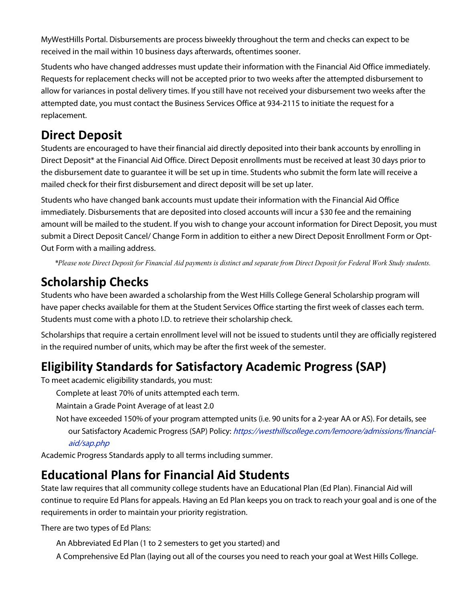MyWestHills Portal. Disbursements are process biweekly throughout the term and checks can expect to be received in the mail within 10 business days afterwards, oftentimes sooner.

Students who have changed addresses must update their information with the Financial Aid Office immediately. Requests for replacement checks will not be accepted prior to two weeks after the attempted disbursement to allow for variances in postal delivery times. If you still have not received your disbursement two weeks after the attempted date, you must contact the Business Services Office at 934-2115 to initiate the request for a replacement.

## <span id="page-8-0"></span>**Direct Deposit**

Students are encouraged to have their financial aid directly deposited into their bank accounts by enrolling in Direct Deposit\* at the Financial Aid Office. Direct Deposit enrollments must be received at least 30 days prior to the disbursement date to guarantee it will be set up in time. Students who submit the form late will receive a mailed check for their first disbursement and direct deposit will be set up later.

Students who have changed bank accounts must update their information with the Financial Aid Office immediately. Disbursements that are deposited into closed accounts will incur a \$30 fee and the remaining amount will be mailed to the student. If you wish to change your account information for Direct Deposit, you must submit a Direct Deposit Cancel/ Change Form in addition to either a new Direct Deposit Enrollment Form or Opt-Out Form with a mailing address.

*\*Please note Direct Deposit for Financial Aid payments is distinct and separate from Direct Deposit for Federal Work Study students.*

## <span id="page-8-1"></span>**Scholarship Checks**

Students who have been awarded a scholarship from the West Hills College General Scholarship program will have paper checks available for them at the Student Services Office starting the first week of classes each term. Students must come with a photo I.D. to retrieve their scholarship check.

Scholarships that require a certain enrollment level will not be issued to students until they are officially registered in the required number of units, which may be after the first week of the semester.

## <span id="page-8-2"></span>**Eligibility Standards for Satisfactory Academic Progress (SAP)**

To meet academic eligibility standards, you must:

Complete at least 70% of units attempted each term.

Maintain a Grade Point Average of at least 2.0

Not have exceeded 150% of your program attempted units (i.e. 90 units for a 2-year AA or AS). For details, see our Satisfactory Academic Progress (SAP) Policy: [https://westhillscollege.com/lemoore/admissions/financial](https://westhillscollege.com/lemoore/admissions/financial-aid/sap.php)[aid/sap.php](https://westhillscollege.com/lemoore/admissions/financial-aid/sap.php)

Academic Progress Standards apply to all terms including summer.

## <span id="page-8-3"></span>**Educational Plans for Financial Aid Students**

State law requires that all community college students have an Educational Plan (Ed Plan). Financial Aid will continue to require Ed Plans for appeals. Having an Ed Plan keeps you on track to reach your goal and is one of the requirements in order to maintain your priority registration.

There are two types of Ed Plans:

- An Abbreviated Ed Plan (1 to 2 semesters to get you started) and
- A Comprehensive Ed Plan (laying out all of the courses you need to reach your goal at West Hills College.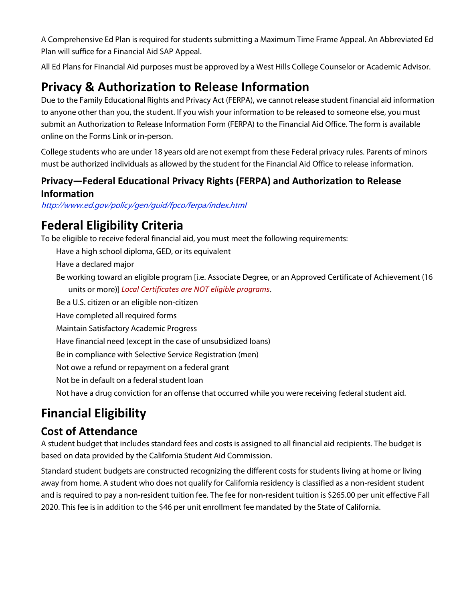A Comprehensive Ed Plan is required for students submitting a Maximum Time Frame Appeal. An Abbreviated Ed Plan will suffice for a Financial Aid SAP Appeal.

All Ed Plans for Financial Aid purposes must be approved by a West Hills College Counselor or Academic Advisor.

## <span id="page-9-0"></span>**Privacy & Authorization to Release Information**

Due to the Family Educational Rights and Privacy Act (FERPA), we cannot release student financial aid information to anyone other than you, the student. If you wish your information to be released to someone else, you must submit an Authorization to Release Information Form (FERPA) to the Financial Aid Office. The form is available online on the Forms Link or in-person.

College students who are under 18 years old are not exempt from these Federal privacy rules. Parents of minors must be authorized individuals as allowed by the student for the Financial Aid Office to release information.

#### **Privacy—Federal Educational Privacy Rights (FERPA) and Authorization to Release Information**

<http://www.ed.gov/policy/gen/guid/fpco/ferpa/index.html>

## <span id="page-9-1"></span>**Federal Eligibility Criteria**

To be eligible to receive federal financial aid, you must meet the following requirements:

Have a high school diploma, GED, or its equivalent

Have a declared major

Be working toward an eligible program [i.e. Associate Degree, or an Approved Certificate of Achievement (16 units or more)] *Local Certificates are NOT eligible programs*.

Be a U.S. citizen or an eligible non-citizen

Have completed all required forms

Maintain Satisfactory Academic Progress

Have financial need (except in the case of unsubsidized loans)

Be in compliance with Selective Service Registration (men)

Not owe a refund or repayment on a federal grant

Not be in default on a federal student loan

Not have a drug conviction for an offense that occurred while you were receiving federal student aid.

## <span id="page-9-2"></span>**Financial Eligibility**

#### **Cost of Attendance**

A student budget that includes standard fees and costs is assigned to all financial aid recipients. The budget is based on data provided by the California Student Aid Commission.

Standard student budgets are constructed recognizing the different costs for students living at home or living away from home. A student who does not qualify for California residency is classified as a non-resident student and is required to pay a non-resident tuition fee. The fee for non-resident tuition is \$265.00 per unit effective Fall 2020. This fee is in addition to the \$46 per unit enrollment fee mandated by the State of California.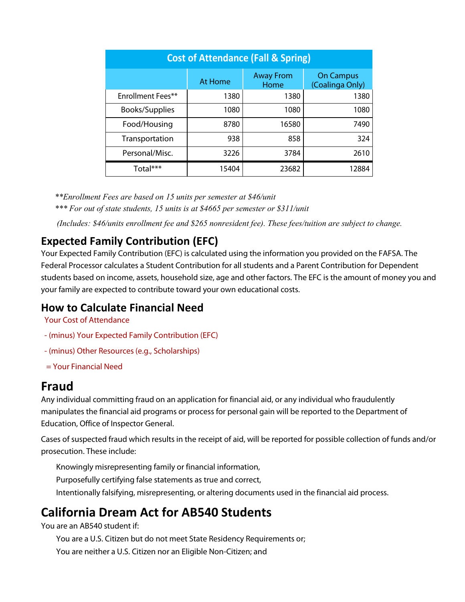| <b>Cost of Attendance (Fall &amp; Spring)</b> |         |                          |                                     |
|-----------------------------------------------|---------|--------------------------|-------------------------------------|
|                                               | At Home | <b>Away From</b><br>Home | <b>On Campus</b><br>(Coalinga Only) |
| Enrollment Fees**                             | 1380    | 1380                     | 1380                                |
| Books/Supplies                                | 1080    | 1080                     | 1080                                |
| Food/Housing                                  | 8780    | 16580                    | 7490                                |
| Transportation                                | 938     | 858                      | 324                                 |
| Personal/Misc.                                | 3226    | 3784                     | 2610                                |
| Total***                                      | 15404   | 23682                    | 12884                               |

*\*\*Enrollment Fees are based on 15 units per semester at \$46/unit*

*\*\*\* For out of state students, 15 units is at \$4665 per semester or \$311/unit*

*(Includes: \$46/units enrollment fee and \$265 nonresident fee). These fees/tuition are subject to change.*

#### **Expected Family Contribution (EFC)**

Your Expected Family Contribution (EFC) is calculated using the information you provided on the FAFSA. The Federal Processor calculates a Student Contribution for all students and a Parent Contribution for Dependent students based on income, assets, household size, age and other factors. The EFC is the amount of money you and your family are expected to contribute toward your own educational costs.

#### **How to Calculate Financial Need**

Your Cost of Attendance

- (minus) Your Expected Family Contribution (EFC)
- (minus) Other Resources (e.g., Scholarships)
- = Your Financial Need

#### <span id="page-10-0"></span>**Fraud**

Any individual committing fraud on an application for financial aid, or any individual who fraudulently manipulates the financial aid programs or process for personal gain will be reported to the Department of Education, Office of Inspector General.

Cases of suspected fraud which results in the receipt of aid, will be reported for possible collection of funds and/or prosecution. These include:

Knowingly misrepresenting family or financial information,

Purposefully certifying false statements as true and correct,

Intentionally falsifying, misrepresenting, or altering documents used in the financial aid process.

## <span id="page-10-1"></span>**California Dream Act for AB540 Students**

You are an AB540 student if:

You are a U.S. Citizen but do not meet State Residency Requirements or;

You are neither a U.S. Citizen nor an Eligible Non-Citizen; and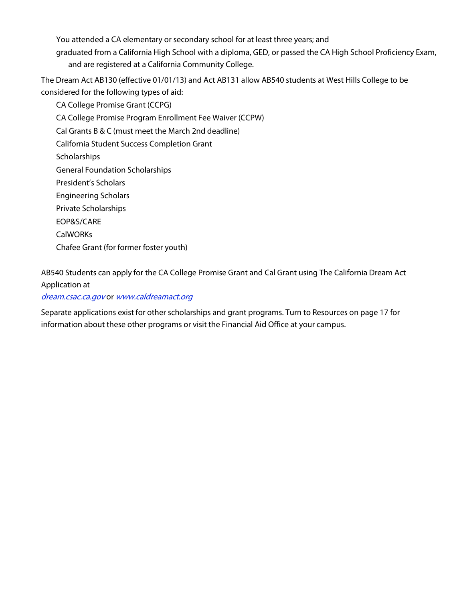You attended a CA elementary or secondary school for at least three years; and graduated from a California High School with a diploma, GED, or passed the CA High School Proficiency Exam, and are registered at a California Community College.

The Dream Act AB130 (effective 01/01/13) and Act AB131 allow AB540 students at West Hills College to be considered for the following types of aid:

CA College Promise Grant (CCPG) CA College Promise Program Enrollment Fee Waiver (CCPW) Cal Grants B & C (must meet the March 2nd deadline) California Student Success Completion Grant **Scholarships** General Foundation Scholarships President's Scholars Engineering Scholars Private Scholarships EOP&S/CARE CalWORKs Chafee Grant (for former foster youth)

AB540 Students can apply for the CA College Promise Grant and Cal Grant using The California Dream Act Application at

#### [dream.csac.ca.gov](http://dream.csac.ca.gov/) or [www.caldreamact.org](http://www.caldreamact.org/)

Separate applications exist for other scholarships and grant programs. Turn to Resources on page 17 for information about these other programs or visit the Financial Aid Office at your campus.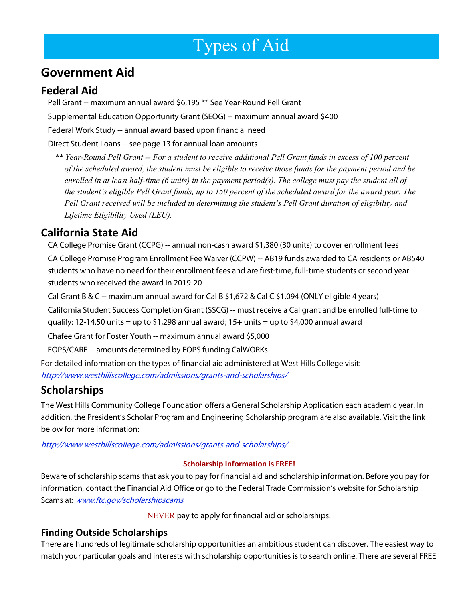# <span id="page-12-0"></span>Types of Aid

## <span id="page-12-1"></span>**Government Aid**

#### **Federal Aid**

Pell Grant -- maximum annual award \$6,195 \*\* See Year-Round Pell Grant Supplemental Education Opportunity Grant (SEOG) -- maximum annual award \$400 Federal Work Study -- annual award based upon financial need

Direct Student Loans -- see page 13 for annual loan amounts

*\*\* Year-Round Pell Grant -- For a student to receive additional Pell Grant funds in excess of 100 percent of the scheduled award, the student must be eligible to receive those funds for the payment period and be enrolled in at least half-time (6 units) in the payment period(s). The college must pay the student all of the student's eligible Pell Grant funds, up to 150 percent of the scheduled award for the award year. The Pell Grant received will be included in determining the student's Pell Grant duration of eligibility and Lifetime Eligibility Used (LEU).*

#### **California State Aid**

CA College Promise Grant (CCPG) -- annual non-cash award \$1,380 (30 units) to cover enrollment fees

CA College Promise Program Enrollment Fee Waiver (CCPW) -- AB19 funds awarded to CA residents or AB540 students who have no need for their enrollment fees and are first-time, full-time students or second year students who received the award in 2019-20

Cal Grant B & C -- maximum annual award for Cal B \$1,672 & Cal C \$1,094 (ONLY eligible 4 years)

California Student Success Completion Grant (SSCG) -- must receive a Cal grant and be enrolled full-time to

qualify: 12-14.50 units = up to \$1,298 annual award;  $15+$  units = up to \$4,000 annual award

Chafee Grant for Foster Youth -- maximum annual award \$5,000

EOPS/CARE -- amounts determined by EOPS funding CalWORKs

For detailed information on the types of financial aid administered at West Hills College visit: [http://www.westhillscollege.com/admissions/grants-and-scholarships/](http://www.westhillscollege.com/admissions/grants-and-scholarships)

#### **Scholarships**

The West Hills Community College Foundation offers a General Scholarship Application each academic year. In addition, the President's Scholar Program and Engineering Scholarship program are also available. Visit the link below for more information:

http://www.westhillscollege.com/admissions/grants-and-scholarships/

#### **Scholarship Information is FREE!**

Beware of scholarship scams that ask you to pay for financial aid and scholarship information. Before you pay for information, contact the Financial Aid Office or go to the Federal Trade Commission's website for Scholarship Scams at: [www.ftc.gov/scholarshipscams](http://www.ftc.gov/scholarshipscams)

NEVER pay to apply for financial aid or scholarships!

#### **Finding Outside Scholarships**

There are hundreds of legitimate scholarship opportunities an ambitious student can discover. The easiest way to match your particular goals and interests with scholarship opportunities is to search online. There are several FREE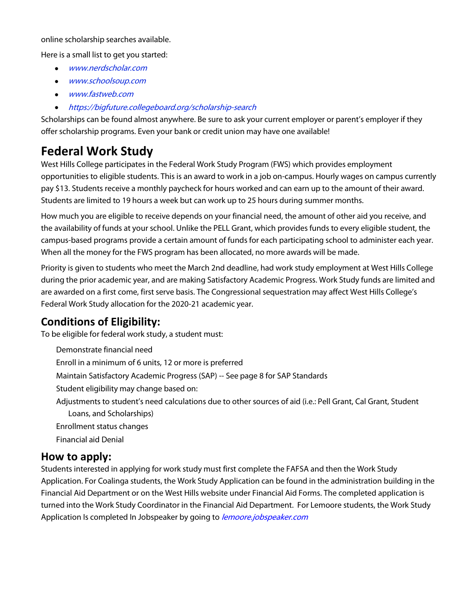#### online scholarship searches available.

Here is a small list to get you started:

- [www.nerdscholar.com](http://www.nerdscholar.com/)
- [www.schoolsoup.com](http://www.schoolsoup.com/)
- [www.fastweb.com](http://www.fastweb.com/)
- <https://bigfuture.collegeboard.org/scholarship-search>

Scholarships can be found almost anywhere. Be sure to ask your current employer or parent's employer if they offer scholarship programs. Even your bank or credit union may have one available!

## <span id="page-13-0"></span>**Federal Work Study**

West Hills College participates in the Federal Work Study Program (FWS) which provides employment opportunities to eligible students. This is an award to work in a job on-campus. Hourly wages on campus currently pay \$13. Students receive a monthly paycheck for hours worked and can earn up to the amount of their award. Students are limited to 19 hours a week but can work up to 25 hours during summer months.

How much you are eligible to receive depends on your financial need, the amount of other aid you receive, and the availability of funds at your school. Unlike the PELL Grant, which provides funds to every eligible student, the campus-based programs provide a certain amount of funds for each participating school to administer each year. When all the money for the FWS program has been allocated, no more awards will be made.

Priority is given to students who meet the March 2nd deadline, had work study employment at West Hills College during the prior academic year, and are making Satisfactory Academic Progress. Work Study funds are limited and are awarded on a first come, first serve basis. The Congressional sequestration may affect West Hills College's Federal Work Study allocation for the 2020-21 academic year.

#### **Conditions of Eligibility:**

To be eligible for federal work study, a student must:

Demonstrate financial need Enroll in a minimum of 6 units, 12 or more is preferred Maintain Satisfactory Academic Progress (SAP) -- See page 8 for SAP Standards Student eligibility may change based on: Adjustments to student's need calculations due to other sources of aid (i.e.: Pell Grant, Cal Grant, Student Loans, and Scholarships) Enrollment status changes Financial aid Denial

#### **How to apply:**

Students interested in applying for work study must first complete the FAFSA and then the Work Study Application. For Coalinga students, the Work Study Application can be found in the administration building in the Financial Aid Department or on the West Hills website under Financial Aid Forms. The completed application is turned into the Work Study Coordinator in the Financial Aid Department. For Lemoore students, the Work Study Application Is completed In Jobspeaker by going to *[lemoore.jobspeaker.com](https://lemoore.jobspeaker.com/)*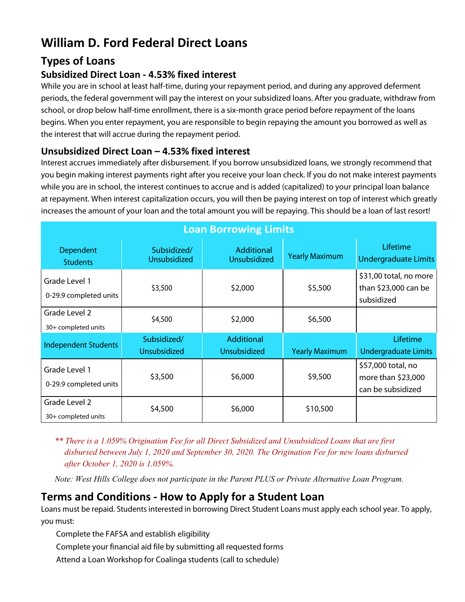## <span id="page-14-0"></span>**William D. Ford Federal Direct Loans**

#### **Types of Loans**

#### **Subsidized Direct Loan - 4.53% fixed interest**

While you are in school at least half-time, during your repayment period, and during any approved deferment periods, the federal government will pay the interest on your subsidized loans. After you graduate, withdraw from school, or drop below half-time enrollment, there is a six-month grace period before repayment of the loans begins. When you enter repayment, you are responsible to begin repaying the amount you borrowed as well as the interest that will accrue during the repayment period.

#### **Unsubsidized Direct Loan – 4.53% fixed interest**

Interest accrues immediately after disbursement. If you borrow unsubsidized loans, we strongly recommend that you begin making interest payments right after you receive your loan check. If you do not make interest payments while you are in school, the interest continues to accrue and is added (capitalized) to your principal loan balance at repayment. When interest capitalization occurs, you will then be paying interest on top of interest which greatly increases the amount of your loan and the total amount you will be repaying. This should be a loan of last resort!

| <b>Loan Borrowing Limits</b>            |                                    |                                          |                       |                                                               |
|-----------------------------------------|------------------------------------|------------------------------------------|-----------------------|---------------------------------------------------------------|
| Dependent<br><b>Students</b>            | Subsidized/<br><b>Unsubsidized</b> | <b>Additional</b><br>Unsubsidized        | <b>Yearly Maximum</b> | Lifetime<br><b>Undergraduate Limits</b>                       |
| Grade Level 1<br>0-29.9 completed units | \$3,500                            | \$2,000                                  | \$5,500               | \$31,00 total, no more<br>than \$23,000 can be<br>subsidized  |
| Grade Level 2<br>30+ completed units    | \$4,500                            | \$2,000                                  | \$6,500               |                                                               |
| <b>Independent Students</b>             | Subsidized/<br>Unsubsidized        | <b>Additional</b><br><b>Unsubsidized</b> | <b>Yearly Maximum</b> | Lifetime<br><b>Undergraduate Limits</b>                       |
| Grade Level 1<br>0-29.9 completed units | \$3,500                            | \$6,000                                  | \$9,500               | \$57,000 total, no<br>more than \$23,000<br>can be subsidized |
| Grade Level 2<br>30+ completed units    | \$4,500                            | \$6,000                                  | \$10,500              |                                                               |

*\*\* There is a 1.059% Origination Fee for all Direct Subsidized and Unsubsidized Loans that are first disbursed between July 1, 2020 and September 30, 2020. The Origination Fee for new loans disbursed after October 1, 2020 is 1.059%.*

*Note: West Hills College does not participate in the Parent PLUS or Private Alternative Loan Program.*

#### **Terms and Conditions - How to Apply for a Student Loan**

Loans must be repaid. Students interested in borrowing Direct Student Loans must apply each school year. To apply, you must:

Complete the FAFSA and establish eligibility

Complete your financial aid file by submitting all requested forms

Attend a Loan Workshop for Coalinga students (call to schedule)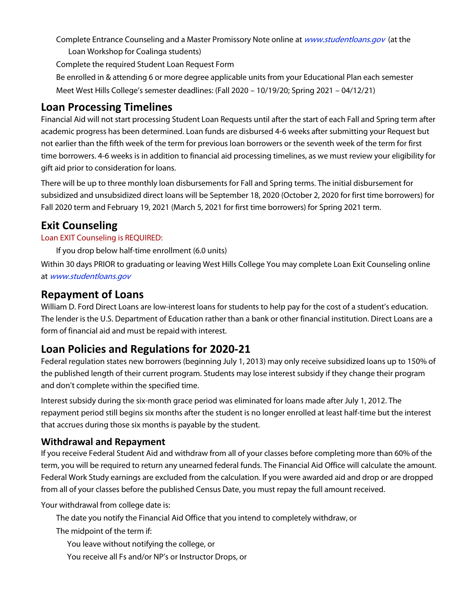Complete Entrance Counseling and a Master Promissory Note online at *www.studentloans.gov* (at the Loan Workshop for Coalinga students)

Complete the required Student Loan Request Form

Be enrolled in & attending 6 or more degree applicable units from your Educational Plan each semester Meet West Hills College's semester deadlines: (Fall 2020 – 10/19/20; Spring 2021 – 04/12/21)

### **Loan Processing Timelines**

Financial Aid will not start processing Student Loan Requests until after the start of each Fall and Spring term after academic progress has been determined. Loan funds are disbursed 4-6 weeks after submitting your Request but not earlier than the fifth week of the term for previous loan borrowers or the seventh week of the term for first time borrowers. 4-6 weeks is in addition to financial aid processing timelines, as we must review your eligibility for gift aid prior to consideration for loans.

There will be up to three monthly loan disbursements for Fall and Spring terms. The initial disbursement for subsidized and unsubsidized direct loans will be September 18, 2020 (October 2, 2020 for first time borrowers) for Fall 2020 term and February 19, 2021 (March 5, 2021 for first time borrowers) for Spring 2021 term.

#### **Exit Counseling**

#### Loan EXIT Counseling is REQUIRED:

If you drop below half-time enrollment (6.0 units)

Within 30 days PRIOR to graduating or leaving West Hills College You may complete Loan Exit Counseling online at [www.studentloans.gov](http://www.studentloans.gov/)

#### **Repayment of Loans**

William D. Ford Direct Loans are low-interest loans for students to help pay for the cost of a student's education. The lender is the U.S. Department of Education rather than a bank or other financial institution. Direct Loans are a form of financial aid and must be repaid with interest.

#### **Loan Policies and Regulations for 2020-21**

Federal regulation states new borrowers (beginning July 1, 2013) may only receive subsidized loans up to 150% of the published length of their current program. Students may lose interest subsidy if they change their program and don't complete within the specified time.

Interest subsidy during the six-month grace period was eliminated for loans made after July 1, 2012. The repayment period still begins six months after the student is no longer enrolled at least half-time but the interest that accrues during those six months is payable by the student.

#### **Withdrawal and Repayment**

If you receive Federal Student Aid and withdraw from all of your classes before completing more than 60% of the term, you will be required to return any unearned federal funds. The Financial Aid Office will calculate the amount. Federal Work Study earnings are excluded from the calculation. If you were awarded aid and drop or are dropped from all of your classes before the published Census Date, you must repay the full amount received.

Your withdrawal from college date is:

The date you notify the Financial Aid Office that you intend to completely withdraw, or

The midpoint of the term if:

You leave without notifying the college, or

You receive all Fs and/or NP's or Instructor Drops, or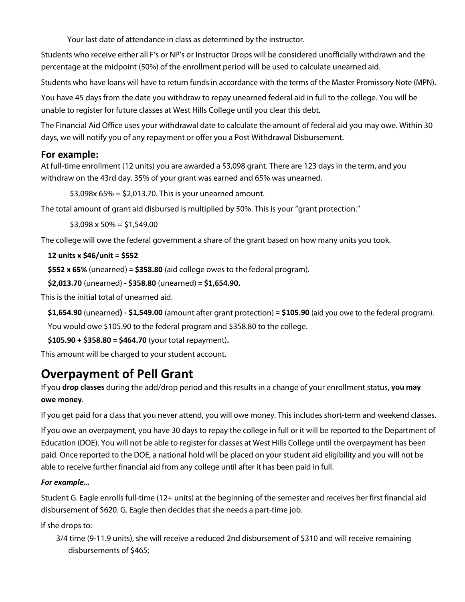Your last date of attendance in class as determined by the instructor.

Students who receive either all F's or NP's or Instructor Drops will be considered unofficially withdrawn and the percentage at the midpoint (50%) of the enrollment period will be used to calculate unearned aid.

Students who have loans will have to return funds in accordance with the terms of the Master Promissory Note (MPN).

You have 45 days from the date you withdraw to repay unearned federal aid in full to the college. You will be unable to register for future classes at West Hills College until you clear this debt.

The Financial Aid Office uses your withdrawal date to calculate the amount of federal aid you may owe. Within 30 days, we will notify you of any repayment or offer you a Post Withdrawal Disbursement.

#### **For example:**

At full-time enrollment (12 units) you are awarded a \$3,098 grant. There are 123 days in the term, and you withdraw on the 43rd day. 35% of your grant was earned and 65% was unearned.

```
$3,098x 65% = $2,013.70. This is your unearned amount.
```
The total amount of grant aid disbursed is multiplied by 50%. This is your "grant protection."

 $$3,098 \times 50\% = $1,549.00$ 

The college will owe the federal government a share of the grant based on how many units you took.

#### **12 units x \$46/unit = \$552**

**\$552 x 65%** (unearned) **= \$358.80** (aid college owes to the federal program).

```
$2,013.70 (unearned) - $358.80 (unearned) = $1,654.90.
```
This is the initial total of unearned aid.

**\$1,654.90** (unearned**) - \$1,549.00** (amount after grant protection) **= \$105.90** (aid you owe to the federal program).

You would owe \$105.90 to the federal program and \$358.80 to the college.

```
$105.90 + $358.80 = $464.70 (your total repayment).
```
This amount will be charged to your student account.

## <span id="page-16-0"></span>**Overpayment of Pell Grant**

If you **drop classes** during the add/drop period and this results in a change of your enrollment status, **you may owe money**.

If you get paid for a class that you never attend, you will owe money. This includes short-term and weekend classes.

If you owe an overpayment, you have 30 days to repay the college in full or it will be reported to the Department of Education (DOE). You will not be able to register for classes at West Hills College until the overpayment has been paid. Once reported to the DOE, a national hold will be placed on your student aid eligibility and you will not be able to receive further financial aid from any college until after it has been paid in full.

#### *For example…*

Student G. Eagle enrolls full-time (12+ units) at the beginning of the semester and receives her first financial aid disbursement of \$620. G. Eagle then decides that she needs a part-time job.

If she drops to:

3/4 time (9-11.9 units), she will receive a reduced 2nd disbursement of \$310 and will receive remaining disbursements of \$465;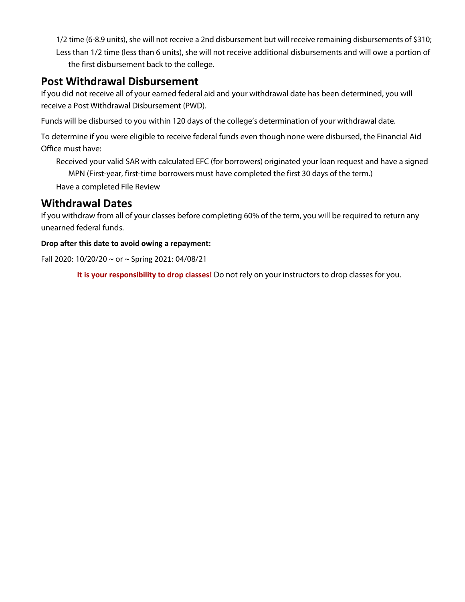1/2 time (6-8.9 units), she will not receive a 2nd disbursement but will receive remaining disbursements of \$310; Less than 1/2 time (less than 6 units), she will not receive additional disbursements and will owe a portion of the first disbursement back to the college.

## **Post Withdrawal Disbursement**

If you did not receive all of your earned federal aid and your withdrawal date has been determined, you will receive a Post Withdrawal Disbursement (PWD).

Funds will be disbursed to you within 120 days of the college's determination of your withdrawal date.

To determine if you were eligible to receive federal funds even though none were disbursed, the Financial Aid Office must have:

Received your valid SAR with calculated EFC (for borrowers) originated your loan request and have a signed MPN (First-year, first-time borrowers must have completed the first 30 days of the term.) Have a completed File Review

#### **Withdrawal Dates**

If you withdraw from all of your classes before completing 60% of the term, you will be required to return any unearned federal funds.

#### **Drop after this date to avoid owing a repayment:**

Fall 2020: 10/20/20 ~ or ~ Spring 2021: 04/08/21

**It is your responsibility to drop classes!** Do not rely on your instructors to drop classes for you.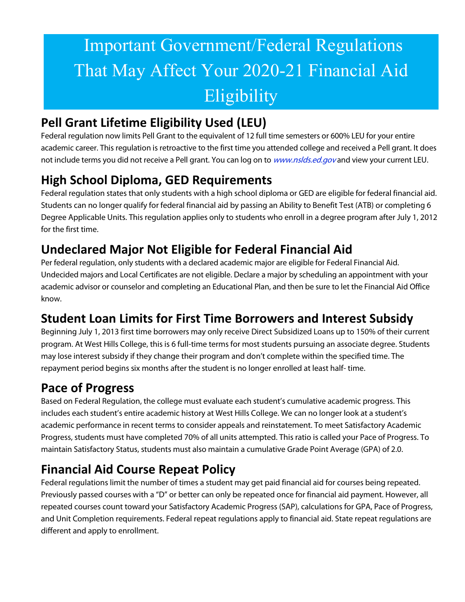# <span id="page-18-0"></span>Important Government/Federal Regulations That May Affect Your 2020-21 Financial Aid Eligibility

## <span id="page-18-1"></span>**Pell Grant Lifetime Eligibility Used (LEU)**

Federal regulation now limits Pell Grant to the equivalent of 12 full time semesters or 600% LEU for your entire academic career. This regulation is retroactive to the first time you attended college and received a Pell grant. It does not include terms you did not receive a Pell grant. You can log on to *www.nslds.ed.gov* and view your current LEU.

## <span id="page-18-2"></span>**High School Diploma, GED Requirements**

Federal regulation states that only students with a high school diploma or GED are eligible for federal financial aid. Students can no longer qualify for federal financial aid by passing an Ability to Benefit Test (ATB) or completing 6 Degree Applicable Units. This regulation applies only to students who enroll in a degree program after July 1, 2012 for the first time.

## <span id="page-18-3"></span>**Undeclared Major Not Eligible for Federal Financial Aid**

Per federal regulation, only students with a declared academic major are eligible for Federal Financial Aid. Undecided majors and Local Certificates are not eligible. Declare a major by scheduling an appointment with your academic advisor or counselor and completing an Educational Plan, and then be sure to let the Financial Aid Office know.

## <span id="page-18-4"></span>**Student Loan Limits for First Time Borrowers and Interest Subsidy**

Beginning July 1, 2013 first time borrowers may only receive Direct Subsidized Loans up to 150% of their current program. At West Hills College, this is 6 full-time terms for most students pursuing an associate degree. Students may lose interest subsidy if they change their program and don't complete within the specified time. The repayment period begins six months after the student is no longer enrolled at least half- time.

## <span id="page-18-5"></span>**Pace of Progress**

Based on Federal Regulation, the college must evaluate each student's cumulative academic progress. This includes each student's entire academic history at West Hills College. We can no longer look at a student's academic performance in recent terms to consider appeals and reinstatement. To meet Satisfactory Academic Progress, students must have completed 70% of all units attempted. This ratio is called your Pace of Progress. To maintain Satisfactory Status, students must also maintain a cumulative Grade Point Average (GPA) of 2.0.

## <span id="page-18-6"></span>**Financial Aid Course Repeat Policy**

Federal regulations limit the number of times a student may get paid financial aid for courses being repeated. Previously passed courses with a "D" or better can only be repeated once for financial aid payment. However, all repeated courses count toward your Satisfactory Academic Progress (SAP), calculations for GPA, Pace of Progress, and Unit Completion requirements. Federal repeat regulations apply to financial aid. State repeat regulations are different and apply to enrollment.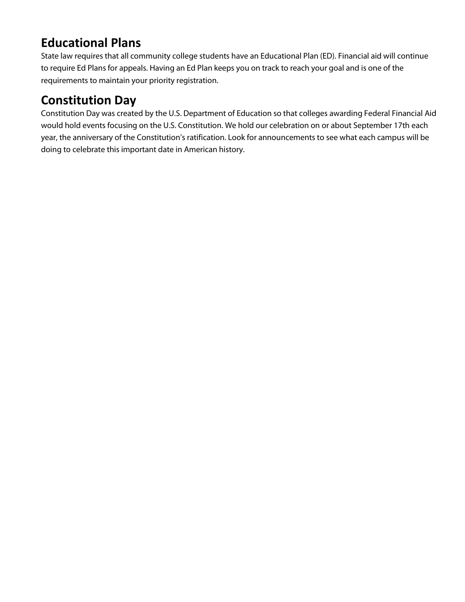## <span id="page-19-0"></span>**Educational Plans**

State law requires that all community college students have an Educational Plan (ED). Financial aid will continue to require Ed Plans for appeals. Having an Ed Plan keeps you on track to reach your goal and is one of the requirements to maintain your priority registration.

## <span id="page-19-1"></span>**Constitution Day**

Constitution Day was created by the U.S. Department of Education so that colleges awarding Federal Financial Aid would hold events focusing on the U.S. Constitution. We hold our celebration on or about September 17th each year, the anniversary of the Constitution's ratification. Look for announcements to see what each campus will be doing to celebrate this important date in American history.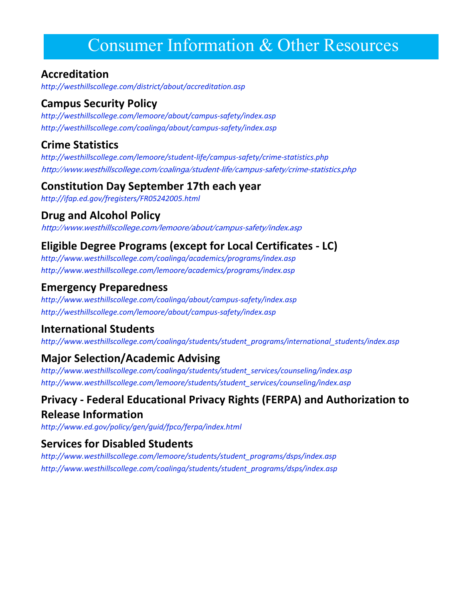## <span id="page-20-0"></span>Consumer Information & Other Resources

#### **Accreditation**

*<http://westhillscollege.com/district/about/accreditation.asp>*

#### **Campus Security Policy**

*<http://westhillscollege.com/lemoore/about/campus-safety/index.asp> <http://westhillscollege.com/coalinga/about/campus-safety/index.asp>*

#### **Crime Statistics**

*<http://westhillscollege.com/lemoore/student-life/campus-safety/crime-statistics.php>* <http://www.westhillscollege.com/coalinga/student-life/campus-safety/crime-statistics.php>

#### **Constitution Day September 17th each year**

*<http://ifap.ed.gov/fregisters/FR05242005.html>*

#### **Drug and Alcohol Policy**

<http://www.westhillscollege.com/lemoore/about/campus-safety/index.asp>

## **Eligible Degree Programs (except for Local Certificates - LC)**

*<http://www.westhillscollege.com/coalinga/academics/programs/index.asp> <http://www.westhillscollege.com/lemoore/academics/programs/index.asp>*

#### **Emergency Preparedness**

*<http://www.westhillscollege.com/coalinga/about/campus-safety/index.asp> <http://westhillscollege.com/lemoore/about/campus-safety/index.asp>*

#### **International Students**

*[http://www.westhillscollege.com/coalinga/students/student\\_programs/international\\_students/index.asp](http://www.westhillscollege.com/coalinga/students/student_programs/international_students/index.asp)*

#### **Major Selection/Academic Advising**

*[http://www.westhillscollege.com/coalinga/students/student\\_services/counseling/index.asp](http://www.westhillscollege.com/coalinga/students/student_services/counseling/index.asp) [http://www.westhillscollege.com/lemoore/students/student\\_services/counseling/index.asp](http://www.westhillscollege.com/lemoore/students/student_services/counseling/index.asp)*

## **Privacy - Federal Educational Privacy Rights (FERPA) and Authorization to Release Information**

*<http://www.ed.gov/policy/gen/guid/fpco/ferpa/index.html>*

#### **Services for Disabled Students**

*[http://www.westhillscollege.com/lemoore/students/student\\_programs/dsps/index.asp](http://www.westhillscollege.com/lemoore/students/student_programs/dsps/index.asp) [http://www.westhillscollege.com/coalinga/students/student\\_programs/dsps/index.asp](http://www.westhillscollege.com/coalinga/students/student_programs/dsps/index.asp)*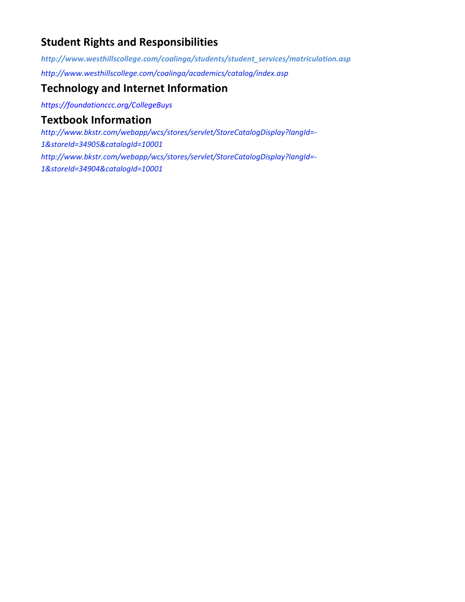### **Student Rights and Responsibilities**

*[http://www.westhillscollege.com/coalinga/students/student\\_services/matriculation.asp](http://www.westhillscollege.com/coalinga/students/student_services/matriculation.asp) <http://www.westhillscollege.com/coalinga/academics/catalog/index.asp>*

#### **Technology and Internet Information**

*<https://foundationccc.org/CollegeBuys>*

#### **Textbook Information**

*[http://www.bkstr.com/webapp/wcs/stores/servlet/StoreCatalogDisplay?langId=-](http://www.bkstr.com/webapp/wcs/stores/servlet/StoreCatalogDisplay?langId=-1&storeId=34905&catalogId) [1&storeId=34905&catalogId=10001](http://www.bkstr.com/webapp/wcs/stores/servlet/StoreCatalogDisplay?langId=-1&storeId=34905&catalogId) [http://www.bkstr.com/webapp/wcs/stores/servlet/StoreCatalogDisplay?langId=-](http://www.bkstr.com/webapp/wcs/stores/servlet/StoreCatalogDisplay?langId=-1&storeId=34904&catalogI) [1&storeId=34904&catalogId=10001](http://www.bkstr.com/webapp/wcs/stores/servlet/StoreCatalogDisplay?langId=-1&storeId=34904&catalogI)*